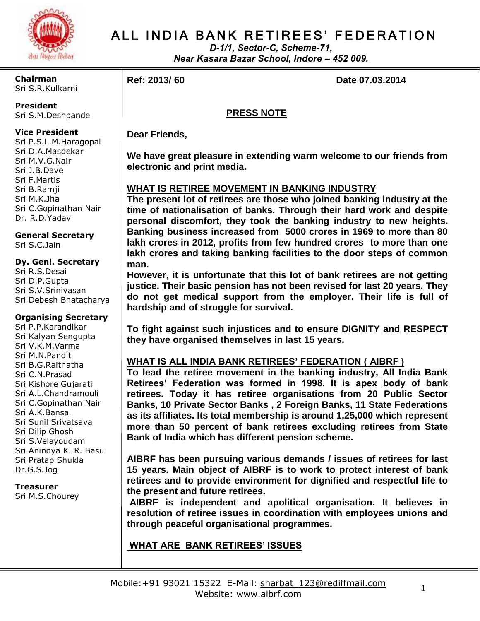

# ALL INDIA BANK RETIREES' FEDERATION

*D-1/1, Sector-C, Scheme-71, Near Kasara Bazar School, Indore – 452 009.*

**Chairman** Sri S.R.Kulkarni

**President**

Sri S.M.Deshpande

### **Vice President**

Sri P.S.L.M.Haragopal Sri D.A.Masdekar Sri M.V.G.Nair Sri J.B.Dave Sri F.Martis Sri B.Ramji Sri M.K.Jha Sri C.Gopinathan Nair Dr. R.D.Yadav

**General Secretary** Sri S.C.Jain

#### **Dy. Genl. Secretary** Sri R.S.Desai Sri D.P.Gupta Sri S.V.Srinivasan Sri Debesh Bhatacharya

### **Organising Secretary**

Sri P.P.Karandikar Sri Kalyan Sengupta Sri V.K.M.Varma Sri M.N.Pandit Sri B.G.Raithatha Sri C.N.Prasad Sri Kishore Gujarati Sri A.L.Chandramouli Sri C.Gopinathan Nair Sri A.K.Bansal Sri Sunil Srivatsava Sri Dilip Ghosh Sri S.Velayoudam Sri Anindya K. R. Basu Sri Pratap Shukla Dr.G.S.Jog

**Treasurer** Sri M.S.Chourey

**Ref: 2013/60 Date 07.03.2014** 

# **PRESS NOTE**

**Dear Friends,**

**We have great pleasure in extending warm welcome to our friends from electronic and print media.**

# **WHAT IS RETIREE MOVEMENT IN BANKING INDUSTRY**

**The present lot of retirees are those who joined banking industry at the time of nationalisation of banks. Through their hard work and despite personal discomfort, they took the banking industry to new heights. Banking business increased from 5000 crores in 1969 to more than 80 lakh crores in 2012, profits from few hundred crores to more than one lakh crores and taking banking facilities to the door steps of common man.**

**However, it is unfortunate that this lot of bank retirees are not getting justice. Their basic pension has not been revised for last 20 years. They do not get medical support from the employer. Their life is full of hardship and of struggle for survival.**

**To fight against such injustices and to ensure DIGNITY and RESPECT they have organised themselves in last 15 years.**

# **WHAT IS ALL INDIA BANK RETIREES' FEDERATION ( AIBRF )**

**To lead the retiree movement in the banking industry, All India Bank Retirees' Federation was formed in 1998. It is apex body of bank retirees. Today it has retiree organisations from 20 Public Sector Banks, 10 Private Sector Banks , 2 Foreign Banks, 11 State Federations as its affiliates. Its total membership is around 1,25,000 which represent more than 50 percent of bank retirees excluding retirees from State Bank of India which has different pension scheme.**

**AIBRF has been pursuing various demands / issues of retirees for last 15 years. Main object of AIBRF is to work to protect interest of bank retirees and to provide environment for dignified and respectful life to the present and future retirees.**

**AIBRF is independent and apolitical organisation. It believes in resolution of retiree issues in coordination with employees unions and through peaceful organisational programmes.**

# **WHAT ARE BANK RETIREES' ISSUES**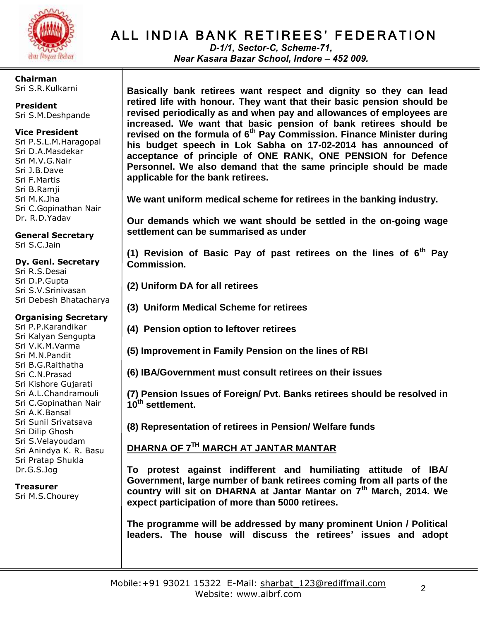

**Chairman** Sri S.R.Kulkarni

**President** Sri S.M.Deshpande

#### **Vice President**

Sri P.S.L.M.Haragopal Sri D.A.Masdekar Sri M.V.G.Nair Sri J.B.Dave Sri F.Martis Sri B.Ramji Sri M.K.Jha Sri C.Gopinathan Nair Dr. R.D.Yadav

**General Secretary** Sri S.C.Jain

#### **Dy. Genl. Secretary**

Sri R.S.Desai Sri D.P.Gupta Sri S.V.Srinivasan Sri Debesh Bhatacharya

#### **Organising Secretary**

Sri P.P.Karandikar Sri Kalyan Sengupta Sri V.K.M.Varma Sri M.N.Pandit Sri B.G.Raithatha Sri C.N.Prasad Sri Kishore Gujarati Sri A.L.Chandramouli Sri C.Gopinathan Nair Sri A.K.Bansal Sri Sunil Srivatsava Sri Dilip Ghosh Sri S.Velayoudam Sri Anindya K. R. Basu Sri Pratap Shukla Dr.G.S.Jog

**Treasurer** Sri M.S.Chourey

# ALL INDIA BANK RETIREES' FEDERATION

*D-1/1, Sector-C, Scheme-71, Near Kasara Bazar School, Indore – 452 009.*

**Basically bank retirees want respect and dignity so they can lead retired life with honour. They want that their basic pension should be revised periodically as and when pay and allowances of employees are increased. We want that basic pension of bank retirees should be revised on the formula of 6th Pay Commission. Finance Minister during his budget speech in Lok Sabha on 17-02-2014 has announced of acceptance of principle of ONE RANK, ONE PENSION for Defence Personnel. We also demand that the same principle should be made applicable for the bank retirees.** 

**We want uniform medical scheme for retirees in the banking industry.**

**Our demands which we want should be settled in the on-going wage settlement can be summarised as under**

**(1) Revision of Basic Pay of past retirees on the lines of 6th Pay Commission.**

- **(2) Uniform DA for all retirees**
- **(3) Uniform Medical Scheme for retirees**
- **(4) Pension option to leftover retirees**
- **(5) Improvement in Family Pension on the lines of RBI**
- **(6) IBA/Government must consult retirees on their issues**

**(7) Pension Issues of Foreign/ Pvt. Banks retirees should be resolved in 10th settlement.**

**(8) Representation of retirees in Pension/ Welfare funds**

# **DHARNA OF 7TH MARCH AT JANTAR MANTAR**

**To protest against indifferent and humiliating attitude of IBA/ Government, large number of bank retirees coming from all parts of the country will sit on DHARNA at Jantar Mantar on 7th March, 2014. We expect participation of more than 5000 retirees.**

**The programme will be addressed by many prominent Union / Political leaders. The house will discuss the retirees' issues and adopt**